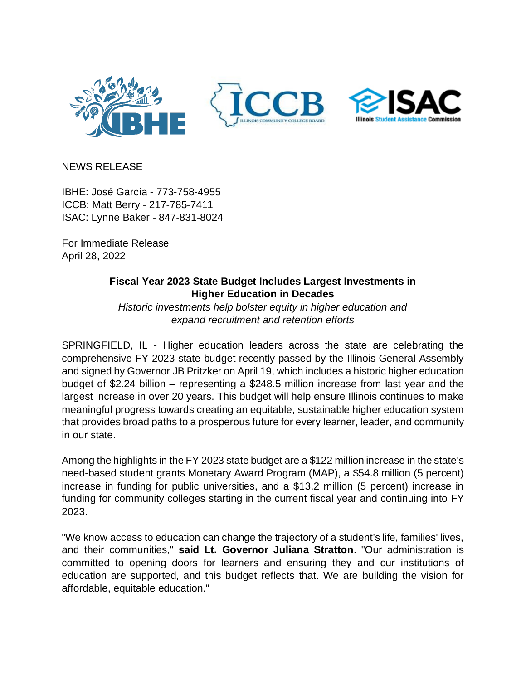

NEWS RELEASE

IBHE: José García - 773-758-4955 ICCB: Matt Berry - 217-785-7411 ISAC: Lynne Baker - 847-831-8024

For Immediate Release April 28, 2022

## **Fiscal Year 2023 State Budget Includes Largest Investments in Higher Education in Decades**

*Historic investments help bolster equity in higher education and expand recruitment and retention efforts*

SPRINGFIELD, IL - Higher education leaders across the state are celebrating the comprehensive FY 2023 state budget recently passed by the Illinois General Assembly and signed by Governor JB Pritzker on April 19, which includes a historic higher education budget of \$2.24 billion – representing a \$248.5 million increase from last year and the largest increase in over 20 years. This budget will help ensure Illinois continues to make meaningful progress towards creating an equitable, sustainable higher education system that provides broad paths to a prosperous future for every learner, leader, and community in our state.

Among the highlights in the FY 2023 state budget are a \$122 million increase in the state's need-based student grants Monetary Award Program (MAP), a \$54.8 million (5 percent) increase in funding for public universities, and a \$13.2 million (5 percent) increase in funding for community colleges starting in the current fiscal year and continuing into FY 2023.

"We know access to education can change the trajectory of a student's life, families' lives, and their communities," **said Lt. Governor Juliana Stratton**. "Our administration is committed to opening doors for learners and ensuring they and our institutions of education are supported, and this budget reflects that. We are building the vision for affordable, equitable education."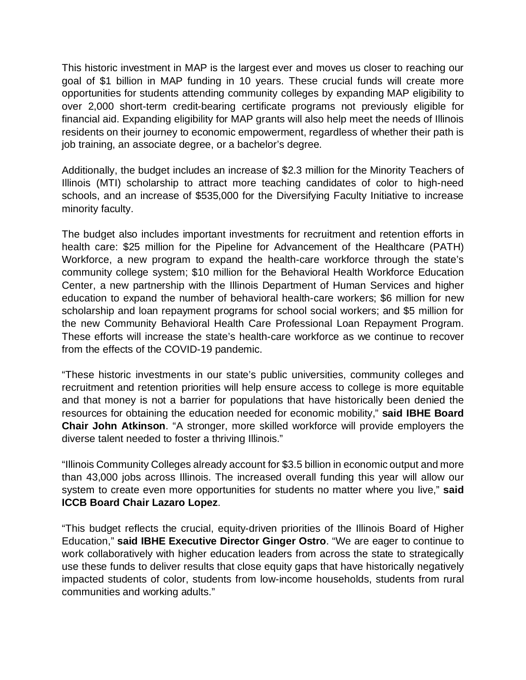This historic investment in MAP is the largest ever and moves us closer to reaching our goal of \$1 billion in MAP funding in 10 years. These crucial funds will create more opportunities for students attending community colleges by expanding MAP eligibility to over 2,000 short-term credit-bearing certificate programs not previously eligible for financial aid. Expanding eligibility for MAP grants will also help meet the needs of Illinois residents on their journey to economic empowerment, regardless of whether their path is job training, an associate degree, or a bachelor's degree.

Additionally, the budget includes an increase of \$2.3 million for the Minority Teachers of Illinois (MTI) scholarship to attract more teaching candidates of color to high-need schools, and an increase of \$535,000 for the Diversifying Faculty Initiative to increase minority faculty.

The budget also includes important investments for recruitment and retention efforts in health care: \$25 million for the Pipeline for Advancement of the Healthcare (PATH) Workforce, a new program to expand the health-care workforce through the state's community college system; \$10 million for the Behavioral Health Workforce Education Center, a new partnership with the Illinois Department of Human Services and higher education to expand the number of behavioral health-care workers; \$6 million for new scholarship and loan repayment programs for school social workers; and \$5 million for the new Community Behavioral Health Care Professional Loan Repayment Program. These efforts will increase the state's health-care workforce as we continue to recover from the effects of the COVID-19 pandemic.

"These historic investments in our state's public universities, community colleges and recruitment and retention priorities will help ensure access to college is more equitable and that money is not a barrier for populations that have historically been denied the resources for obtaining the education needed for economic mobility," **said IBHE Board Chair John Atkinson**. "A stronger, more skilled workforce will provide employers the diverse talent needed to foster a thriving Illinois."

"Illinois Community Colleges already account for \$3.5 billion in economic output and more than 43,000 jobs across Illinois. The increased overall funding this year will allow our system to create even more opportunities for students no matter where you live," **said ICCB Board Chair Lazaro Lopez**.

"This budget reflects the crucial, equity-driven priorities of the Illinois Board of Higher Education," **said IBHE Executive Director Ginger Ostro**. "We are eager to continue to work collaboratively with higher education leaders from across the state to strategically use these funds to deliver results that close equity gaps that have historically negatively impacted students of color, students from low-income households, students from rural communities and working adults."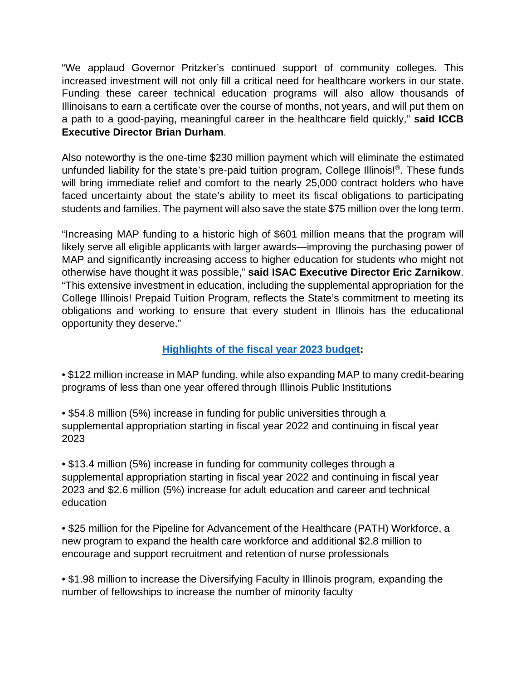"We applaud Governor Pritzker's continued support of community colleges. This increased investment will not only fill a critical need for healthcare workers in our state. Funding these career technical education programs will also allow thousands of Illinoisans to earn a certificate over the course of months, not years, and will put them on a path to a good-paying, meaningful career in the healthcare field quickly," **said ICCB Executive Director Brian Durham**.

Also noteworthy is the one-time \$230 million payment which will eliminate the estimated unfunded liability for the state's pre-paid tuition program, College Illinois!<sup>®</sup>. These funds will bring immediate relief and comfort to the nearly 25,000 contract holders who have faced uncertainty about the state's ability to meet its fiscal obligations to participating students and families. The payment will also save the state \$75 million over the long term.

"Increasing MAP funding to a historic high of \$601 million means that the program will likely serve all eligible applicants with larger awards—improving the purchasing power of MAP and significantly increasing access to higher education for students who might not otherwise have thought it was possible," **said ISAC Executive Director Eric Zarnikow**. "This extensive investment in education, including the supplemental appropriation for the College Illinois! Prepaid Tuition Program, reflects the State's commitment to meeting its obligations and working to ensure that every student in Illinois has the educational opportunity they deserve."

## **[Highlights of the fiscal year 2023 budget:](https://www.ibhe.org/assets/files/hesb/FY23_Budget_Bill_Summary_for-Web_4.9.2022.pdf)**

• \$122 million increase in MAP funding, while also expanding MAP to many credit-bearing programs of less than one year offered through Illinois Public Institutions

• \$54.8 million (5%) increase in funding for public universities through a supplemental appropriation starting in fiscal year 2022 and continuing in fiscal year 2023

• \$13.4 million (5%) increase in funding for community colleges through a supplemental appropriation starting in fiscal year 2022 and continuing in fiscal year 2023 and \$2.6 million (5%) increase for adult education and career and technical education

• \$25 million for the Pipeline for Advancement of the Healthcare (PATH) Workforce, a new program to expand the health care workforce and additional \$2.8 million to encourage and support recruitment and retention of nurse professionals

• \$1.98 million to increase the Diversifying Faculty in Illinois program, expanding the number of fellowships to increase the number of minority faculty